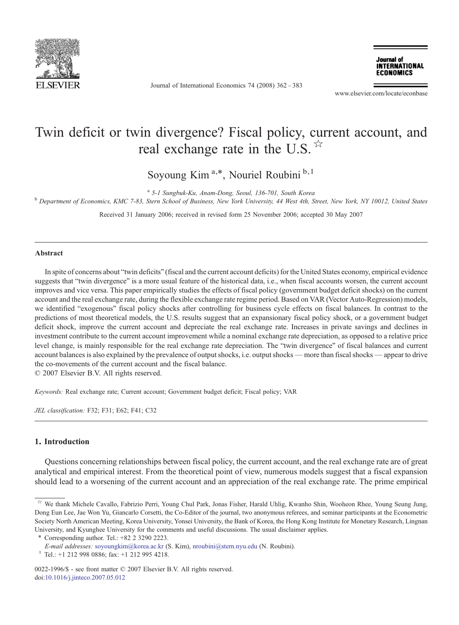

Journal of International Economics 74 (2008) 362–383

Journal of **INTERNATIONAL ECONOMICS** 

www.elsevier.com/locate/econbase

## Twin deficit or twin divergence? Fiscal policy, current account, and real exchange rate in the U.S.  $\overrightarrow{r}$

Soyoung Kim<sup>a,\*</sup>, Nouriel Roubini<sup>b,1</sup>

<sup>a</sup> 5-1 Sungbuk-Ku, Anam-Dong, Seoul, 136-701, South Korea<br>b Department of Economics, KMC 7-83, Stern School of Business, New York University, 44 West 4th, Street, New York, NY 10012, United States

Received 31 January 2006; received in revised form 25 November 2006; accepted 30 May 2007

## Abstract

In spite of concerns about "twin deficits" (fiscal and the current account deficits) for the United States economy, empirical evidence suggests that "twin divergence" is a more usual feature of the historical data, i.e., when fiscal accounts worsen, the current account improves and vice versa. This paper empirically studies the effects of fiscal policy (government budget deficit shocks) on the current account and the real exchange rate, during the flexible exchange rate regime period. Based on VAR (Vector Auto-Regression) models, we identified "exogenous" fiscal policy shocks after controlling for business cycle effects on fiscal balances. In contrast to the predictions of most theoretical models, the U.S. results suggest that an expansionary fiscal policy shock, or a government budget deficit shock, improve the current account and depreciate the real exchange rate. Increases in private savings and declines in investment contribute to the current account improvement while a nominal exchange rate depreciation, as opposed to a relative price level change, is mainly responsible for the real exchange rate depreciation. The "twin divergence" of fiscal balances and current account balances is also explained by the prevalence of output shocks, i.e. output shocks — more than fiscal shocks — appear to drive the co-movements of the current account and the fiscal balance.

© 2007 Elsevier B.V. All rights reserved.

Keywords: Real exchange rate; Current account; Government budget deficit; Fiscal policy; VAR

JEL classification: F32; F31; E62; F41; C32

## 1. Introduction

Questions concerning relationships between fiscal policy, the current account, and the real exchange rate are of great analytical and empirical interest. From the theoretical point of view, numerous models suggest that a fiscal expansion should lead to a worsening of the current account and an appreciation of the real exchange rate. The prime empirical

0022-1996/\$ - see front matter © 2007 Elsevier B.V. All rights reserved. doi[:10.1016/j.jinteco.2007.05.012](http://dx.doi.org/10.1016/j.jinteco.2007.05.012)

<sup>☆</sup> We thank Michele Cavallo, Fabrizio Perri, Young Chul Park, Jonas Fisher, Harald Uhlig, Kwanho Shin, Wooheon Rhee, Young Seung Jung, Dong Eun Lee, Jae Won Yu, Giancarlo Corsetti, the Co-Editor of the journal, two anonymous referees, and seminar participants at the Econometric Society North American Meeting, Korea University, Yonsei University, the Bank of Korea, the Hong Kong Institute for Monetary Research, Lingnan University, and Kyunghee University for the comments and useful discussions. The usual disclaimer applies.

<sup>⁎</sup> Corresponding author. Tel.: +82 2 3290 2223.

E-mail addresses: [soyoungkim@korea.ac.kr](mailto:soyoungkim@korea.ac.kr) (S. Kim), [nroubini@stern.nyu.edu](mailto:nroubini@stern.nyu.edu) (N. Roubini). <sup>1</sup> Tel.: +1 212 998 0886; fax: +1 212 995 4218.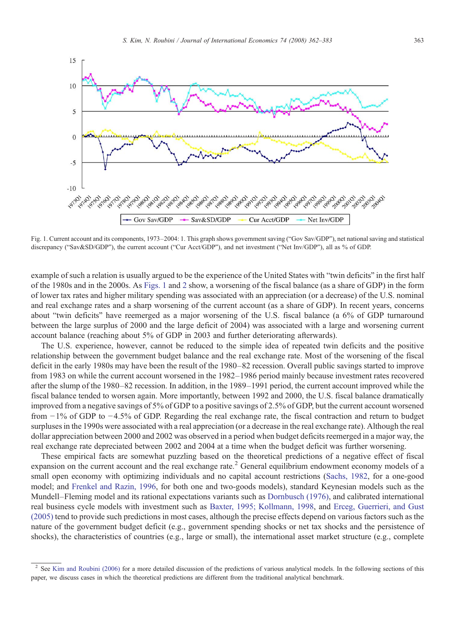

Fig. 1. Current account and its components, 1973–2004: 1. This graph shows government saving ("Gov Sav/GDP"), net national saving and statistical discrepancy ("Sav&SD/GDP"), the current account ("Cur Acct/GDP"), and net investment ("Net Inv/GDP"), all as % of GDP.

example of such a relation is usually argued to be the experience of the United States with "twin deficits" in the first half of the 1980s and in the 2000s. As Figs. 1 and [2](#page--1-0) show, a worsening of the fiscal balance (as a share of GDP) in the form of lower tax rates and higher military spending was associated with an appreciation (or a decrease) of the U.S. nominal and real exchange rates and a sharp worsening of the current account (as a share of GDP). In recent years, concerns about "twin deficits" have reemerged as a major worsening of the U.S. fiscal balance (a 6% of GDP turnaround between the large surplus of 2000 and the large deficit of 2004) was associated with a large and worsening current account balance (reaching about 5% of GDP in 2003 and further deteriorating afterwards).

The U.S. experience, however, cannot be reduced to the simple idea of repeated twin deficits and the positive relationship between the government budget balance and the real exchange rate. Most of the worsening of the fiscal deficit in the early 1980s may have been the result of the 1980–82 recession. Overall public savings started to improve from 1983 on while the current account worsened in the 1982–1986 period mainly because investment rates recovered after the slump of the 1980–82 recession. In addition, in the 1989–1991 period, the current account improved while the fiscal balance tended to worsen again. More importantly, between 1992 and 2000, the U.S. fiscal balance dramatically improved from a negative savings of 5% of GDP to a positive savings of 2.5% of GDP, but the current account worsened from −1% of GDP to −4.5% of GDP. Regarding the real exchange rate, the fiscal contraction and return to budget surpluses in the 1990s were associated with a real appreciation (or a decrease in the real exchange rate). Although the real dollar appreciation between 2000 and 2002 was observed in a period when budget deficits reemerged in a major way, the real exchange rate depreciated between 2002 and 2004 at a time when the budget deficit was further worsening.

These empirical facts are somewhat puzzling based on the theoretical predictions of a negative effect of fiscal expansion on the current account and the real exchange rate.<sup>2</sup> General equilibrium endowment economy models of a small open economy with optimizing individuals and no capital account restrictions ([Sachs, 1982](#page--1-0), for a one-good model; and [Frenkel and Razin, 1996](#page--1-0), for both one and two-goods models), standard Keynesian models such as the Mundell–Fleming model and its rational expectations variants such as [Dornbusch \(1976\)](#page--1-0), and calibrated international real business cycle models with investment such as [Baxter, 1995; Kollmann, 1998](#page--1-0), and [Erceg, Guerrieri, and Gust](#page--1-0) [\(2005\)](#page--1-0) tend to provide such predictions in most cases, although the precise effects depend on various factors such as the nature of the government budget deficit (e.g., government spending shocks or net tax shocks and the persistence of shocks), the characteristics of countries (e.g., large or small), the international asset market structure (e.g., complete

<sup>&</sup>lt;sup>2</sup> See [Kim and Roubini \(2006\)](#page--1-0) for a more detailed discussion of the predictions of various analytical models. In the following sections of this paper, we discuss cases in which the theoretical predictions are different from the traditional analytical benchmark.